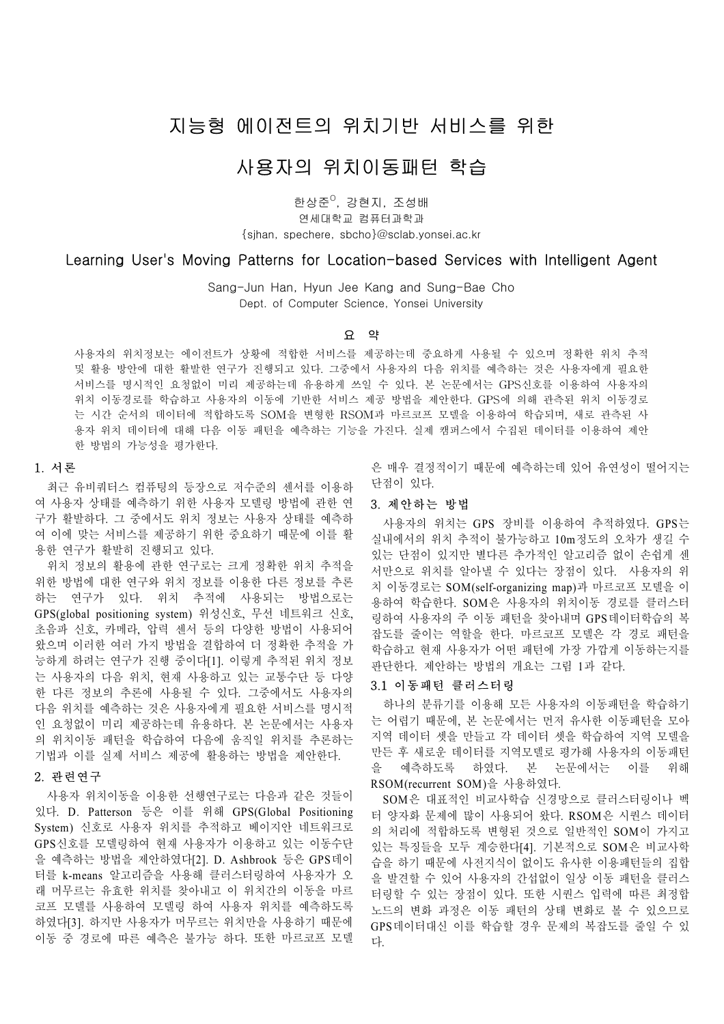# 지능형 에이전트의 위치기반 서비스를 위한

## 사용자의 위치이동패턴 학습

한상준<sup>0</sup>, 강현지, 조성배 연세대학교 컴퓨터과학과 {sjhan, spechere, sbcho}@sclab.yonsei.ac.kr

## Learning User's Moving Patterns for Location-based Services with Intelligent Agent

Sang-Jun Han, Hyun Jee Kang and Sung-Bae Cho Dept. of Computer Science. Yonsei University

#### 요 약

사용자의 위치정보는 에이전트가 상황에 적합한 서비스를 제공하는데 중요하게 사용될 수 있으며 정확한 위치 추적 및 활용 방안에 대한 활발한 연구가 진행되고 있다. 그중에서 사용자의 다음 위치를 예측하는 것은 사용자에게 필요한 서비스를 명시적인 요청없이 미리 제공하는데 유용하게 쓰일 수 있다. 본 논문에서는 GPS신호를 이용하여 사용자의 위치 이동경로를 학습하고 사용자의 이동에 기반한 서비스 제공 방법을 제안한다. GPS에 의해 관측된 위치 이동경로 는 시간 순서의 데이터에 적합하도록 SOM을 변형한 RSOM과 마르코프 모델을 이용하여 학습되며, 새로 관측된 사 용자 위치 데이터에 대해 다음 이동 패턴을 예측하는 기능을 가진다. 실제 캠퍼스에서 수집된 데이터를 이용하여 제안 한 방법의 가능성을 평가한다.

#### 1. 서론

최근 유비쿼터스 컴퓨팅의 등장으로 저수준의 센서를 이용하 여 사용자 상태를 예측하기 위한 사용자 모델링 방법에 관한 연 구가 활발하다. 그 중에서도 위치 정보는 사용자 상태를 예측하 여 이에 맞는 서비스를 제공하기 위한 중요하기 때문에 이를 활 용한 연구가 활발히 진행되고 있다.

위치 정보의 활용에 관한 연구로는 크게 정확한 위치 추적을 위한 방법에 대한 연구와 위치 정보를 이용한 다른 정보를 추론 하는 연구가 있다. 위치 추적에 사용되는 방법으로는 GPS(global positioning system) 위성신호, 무선 네트워크 신호, 초음파 신호, 카메라, 압력 센서 등의 다양한 방법이 사용되어 왔으며 이러한 여러 가지 방법을 결합하여 더 정확한 추적을 가 능하게 하려는 연구가 진행 중이다[1]. 이렇게 추적된 위치 정보 는 사용자의 다음 위치, 현재 사용하고 있는 교통수단 등 다양 한 다른 정보의 추론에 사용될 수 있다. 그중에서도 사용자의 다음 위치를 예측하는 것은 사용자에게 필요한 서비스를 명시적 인 요청없이 미리 제공하는데 유용하다. 본 논문에서는 사용자 의 위치이동 패턴을 학습하여 다음에 움직일 위치를 추론하는 기법과 이를 실제 서비스 제공에 활용하는 방법을 제안한다.

### 2. 관련연구

사용자 위치이동을 이용한 선행연구로는 다음과 같은 것들이 있다. D. Patterson 등은 이를 위해 GPS(Global Positioning System) 신호로 사용자 위치를 추적하고 베이지안 네트워크로 GPS신호를 모델링하여 현재 사용자가 이용하고 있는 이동수단 을 예측하는 방법을 제안하였다[2]. D. Ashbrook 등은 GPS데이 터를 k-means 알고리즘을 사용해 클러스터링하여 사용자가 오 래 머무르는 유효한 위치를 찾아내고 이 위치간의 이동을 마르 코프 모델를 사용하여 모델링 하여 사용자 위치를 예측하도록 하였다[3]. 하지만 사용자가 머무르는 위치만을 사용하기 때문에 이동 중 경로에 따른 예측은 불가능 하다. 또한 마르코프 모델

은 매우 결정적이기 때문에 예측하는데 있어 유연성이 떨어지는 단점이 있다.

### 3. 제안하는 방법

사용자의 위치는 GPS 장비를 이용하여 추적하였다. GPS는 실내에서의 위치 추적이 불가능하고 10m정도의 오차가 생길 수 있는 단점이 있지만 별다른 추가적인 알고리즘 없이 손쉽게 센 서만으로 위치를 알아낼 수 있다는 장점이 있다. 사용자의 위 치 이동경로는 SOM(self-organizing map)과 마르코프 모델을 이 용하여 학습한다. SOM은 사용자의 위치이동 경로를 클러스터 링하여 사용자의 주 이동 패턴을 찾아내며 GPS데이터학습의 복 잡도를 줄이는 역할을 한다. 마르코프 모델은 각 경로 패턴을 학습하고 현재 사용자가 어떤 패턴에 가장 가깝게 이동하는지를 판단한다. 제안하는 방법의 개요는 그림 1과 같다.

#### 3.1 이동패턴 클러스터링

하나의 분류기를 이용해 모든 사용자의 이동패턴을 학습하기 는 어렵기 때문에, 본 논문에서는 먼저 유사한 이동패턴을 모아 지역 데이터 셋을 만들고 각 데이터 셋을 학습하여 지역 모델을 만든 후 새로운 데이터를 지역모델로 평가해 사용자의 이동패턴 을 예측하도록 하였다. 본 논문에서는 이를 위해 RSOM(recurrent SOM)을 사용하였다.

SOM은 대표적인 비교사학습 신경망으로 클러스터링이나 벡 터 양자화 문제에 많이 사용되어 왔다. RSOM은 시퀀스 데이터 의 처리에 적합하도록 변형된 것으로 일반적인 SOM이 가지고 있는 특징들을 모두 계승한다[4]. 기본적으로 SOM은 비교사학 습을 하기 때문에 사전지식이 없이도 유사한 이용패턴들의 집합 을 발견할 수 있어 사용자의 간섭없이 일상 이동 패턴을 클러스 터링할 수 있는 장점이 있다. 또한 시퀀스 입력에 따른 최정합 노드의 변화 과정은 이동 패턴의 상태 변화로 볼 수 있으므로 GPS데이터대신 이를 학습할 경우 문제의 복잡도를 줄일 수 있 다.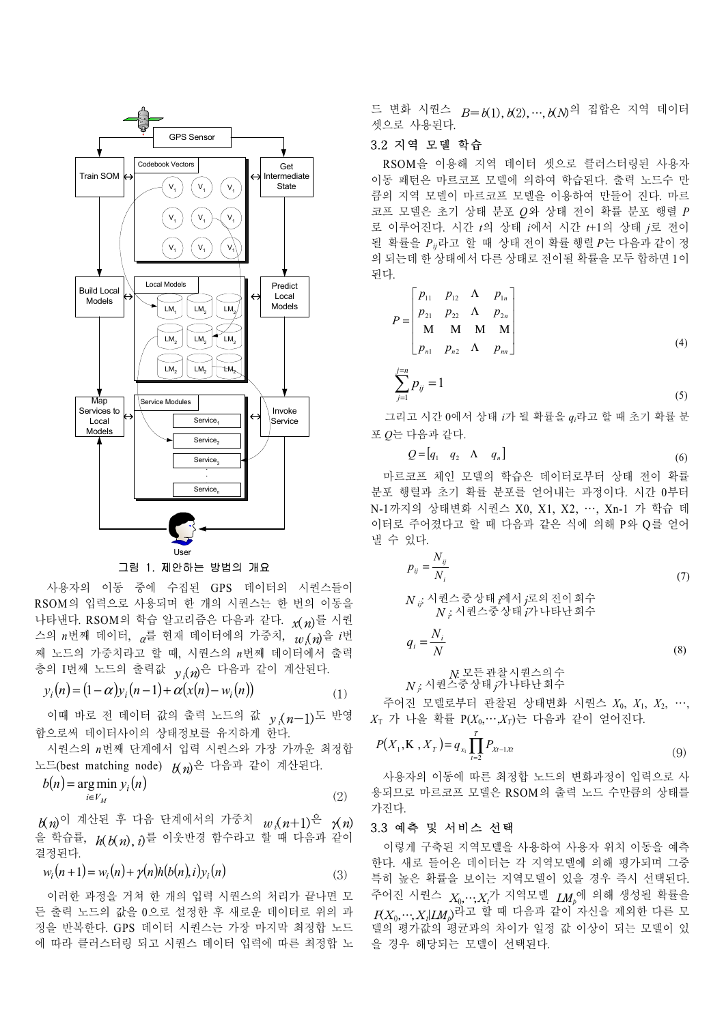

그림 1. 제안하는 방법의 개요

사용자의 이동 중에 수집된 GPS 데이터의 시퀀스들이 RSOM의 입력으로 사용되며 한 개의 시퀀스는 한 번의 이동을 나타낸다. RSOM의 학습 알고리즘은 다음과 같다. *x*(*n*)를 시퀀 스의 *n*번째 데이터, <sup>α</sup>를 현재 데이터에의 가중치, *wi*(*n*)을 *i*<sup>번</sup> 째 노드의 가중치라고 할 때, 시퀀스의 *n*번째 데이터에서 출력 층의 I번째 노드의 출력값 *y <sup>i</sup>*(*n*)은 다음과 같이 계산된다.

$$
y_i(n) = (1 - \alpha) y_i(n - 1) + \alpha (x(n) - w_i(n))
$$
\n(1)

이때 바로 전 데이터 값의 출력 노드의 값 *y <sup>i</sup>*(*n*-1)도 반영 함으로써 데이터사이의 상태정보를 유지하게 한다.

시퀀스의 *n*번째 단계에서 입력 시퀀스와 가장 가까운 최정합 노드(best matching node) *b*(*n*)은 다음과 같이 계산된다.

$$
b(n) = \underset{i \in V_M}{\arg \min} \, y_i(n) \tag{2}
$$

*b*(*n*)이 계산된 후 다음 단계에서의 가중치 *w <sup>i</sup>*(*n*+1)은 γ(*n*) 을 학습률, *h*(*b*(*n*),*i*)를 이웃반경 함수라고 할 때 다음과 같이 결정된다.

$$
w_i(n+1) = w_i(n) + \gamma(n)h(b(n),i)y_i(n)
$$
\n(3)

이러한 과정을 거쳐 한 개의 입력 시퀀스의 처리가 끝나면 모 든 출력 노드의 값을 0으로 설정한 후 새로운 데이터로 위의 과 정을 반복한다. GPS 데이터 시퀀스는 가장 마지막 최정합 노드 에 따라 클러스터링 되고 시퀀스 데이터 입력에 따른 최정합 노 드 변화 시퀀스 *B*=*b*(1),*b*(2),…,*b*(*N*)의 집합은 지역 데이터 셋으로 사용된다.

## 3.2 지역 모델 학습

RSOM을 이용해 지역 데이터 셋으로 클러스터링된 사용자 이동 패턴은 마르코프 모델에 의하여 학습된다. 출력 노드수 만 큼의 지역 모델이 마르코프 모델을 이용하여 만들어 진다. 마르 코프 모델은 초기 상태 분포 *Q*와 상태 전이 확률 분포 행렬 *P* 로 이루어진다. 시간 *t*의 상태 *i*에서 시간 *t*+1의 상태 *j*로 전이 될 확률을 *Pij*라고 할 때 상태 전이 확률 행렬 *P*는 다음과 같이 정 의 되는데 한 상태에서 다른 상태로 전이될 확률을 모두 합하면 1이 된다.

$$
P = \begin{bmatrix} p_{11} & p_{12} & \Lambda & p_{1n} \\ p_{21} & p_{22} & \Lambda & p_{2n} \\ M & M & M & M \\ p_{n1} & p_{n2} & \Lambda & p_{nn} \end{bmatrix}
$$
 (4)

$$
\sum_{j=1}^{j=n} p_{ij} = 1
$$
 (5)

그리고 시간 0에서 상태 i가 될 확률을 q<sub>i</sub>라고 할 때 초기 확률 분 포 0는 다음과 같다.

$$
Q = [q_1 \quad q_2 \quad \Lambda \quad q_n]
$$
 (6)

마르코프 체인 모델의 학습은 데이터로부터 상태 전이 확률 분포 행렬과 초기 확률 분포를 얻어내는 과정이다. 시간 0부터 N-1까지의 상태변화 시퀀스 X0, X1, X2, …, Xn-1 가 학습 데 이터로 주어졌다고 할 때 다음과 같은 식에 의해 P와 Q를 얻어 낼 수 있다.

$$
p_{ij} = \frac{N_{ij}}{N_i}
$$
\n(7)

*N ii*: 시퀀스 중 상태 *i*에  $N:$  시퀀스중 상태  $\overrightarrow{p}$  나타난 회수

$$
q_i = \frac{N_i}{N} \tag{8}
$$

$$
N \xrightarrow{R} \mathbb{E} \xrightarrow{\sim} \mathbb{P} \xrightarrow{\sim} \mathbb{P} \xrightarrow{\sim} \mathbb{P} \xrightarrow{\sim} \mathbb{P} \xrightarrow{\sim} \mathbb{P} \xrightarrow{\sim} \mathbb{P} \xrightarrow{\sim} \mathbb{P} \xrightarrow{\sim} \mathbb{P} \xrightarrow{\sim} \mathbb{P} \xrightarrow{\sim} \mathbb{P} \xrightarrow{\sim} \mathbb{P} \xrightarrow{\sim} \mathbb{P} \xrightarrow{\sim} \mathbb{P} \xrightarrow{\sim} \mathbb{P} \xrightarrow{\sim} \mathbb{P} \xrightarrow{\sim} \mathbb{P} \xrightarrow{\sim} \mathbb{P} \xrightarrow{\sim} \mathbb{P} \xrightarrow{\sim} \mathbb{P} \xrightarrow{\sim} \mathbb{P} \xrightarrow{\sim} \mathbb{P} \xrightarrow{\sim} \mathbb{P} \xrightarrow{\sim} \mathbb{P} \xrightarrow{\sim} \mathbb{P} \xrightarrow{\sim} \mathbb{P} \xrightarrow{\sim} \mathbb{P} \xrightarrow{\sim} \mathbb{P} \xrightarrow{\sim} \mathbb{P} \xrightarrow{\sim} \mathbb{P} \xrightarrow{\sim} \mathbb{P} \xrightarrow{\sim} \mathbb{P} \xrightarrow{\sim} \mathbb{P} \xrightarrow{\sim} \mathbb{P} \xrightarrow{\sim} \mathbb{P} \xrightarrow{\sim} \mathbb{P} \xrightarrow{\sim} \mathbb{P} \xrightarrow{\sim} \mathbb{P} \xrightarrow{\sim} \mathbb{P} \xrightarrow{\sim} \mathbb{P} \xrightarrow{\sim} \mathbb{P} \xrightarrow{\sim} \mathbb{P} \xrightarrow{\sim} \mathbb{P} \xrightarrow{\sim} \mathbb{P} \xrightarrow{\sim} \mathbb{P} \xrightarrow{\sim} \mathbb{P} \xrightarrow{\sim} \mathbb{P} \xrightarrow{\sim} \mathbb{P} \xrightarrow{\sim} \mathbb{P} \xrightarrow{\sim} \mathbb{P} \xrightarrow{\sim} \mathbb{P} \xrightarrow{\sim} \mathbb{P} \xrightarrow{\sim} \mathbb{P} \xrightarrow{\sim} \mathbb{P} \xrightarrow{\sim} \mathbb{P} \xrightarrow{\sim} \mathbb{P} \xrightarrow{\sim} \mathbb{P} \xrightarrow{\sim} \mathbb{P} \xrightarrow{\sim} \mathbb{P} \xrightarrow{\sim} \mathbb{P} \xrightarrow{\sim} \mathbb{P} \xrightarrow{\sim} \mathbb{P} \xrightarrow{\sim} \mathbb{P} \
$$

주어진 모델로부터 관찰된 상태변화 시퀀스 *X*0, *X*1, *X*2, …, *X*<sup>T</sup> 가 나올 확률 P(*X*0,…,*XT*)는 다음과 같이 얻어진다.

$$
P(X_1, \mathbf{K}, X_T) = q_{x_1} \prod_{t=2}^{T} P_{X_t - 1X_t}
$$
 (9)

사용자의 이동에 따른 최정합 노드의 변화과정이 입력으로 사 용되므로 마르코프 모델은 RSOM의 출력 노드 수만큼의 상태를 가진다.

#### 3.3 예측 및 서비스 선택

이렇게 구축된 지역모델을 사용하여 사용자 위치 이동을 예측 한다. 새로 들어온 데이터는 각 지역모델에 의해 평가되며 그중 특히 높은 확률을 보이는 지역모델이 있을 경우 즉시 선택된다. 수어진 시퀀스  $\,X_{0},\cdot\cdot\cdot\!,X_{t}$ 가 지역모델  $\,$  *LMp*에 의해 생성될 확률을 *P*(*X*0,…,*Xt*|*LMp*)라고 할 때 다음과 같이 자신을 제외한 다른 모 델의 평가값의 평균과의 차이가 일정 값 이상이 되는 모델이 있 을 경우 해당되는 모델이 선택된다.